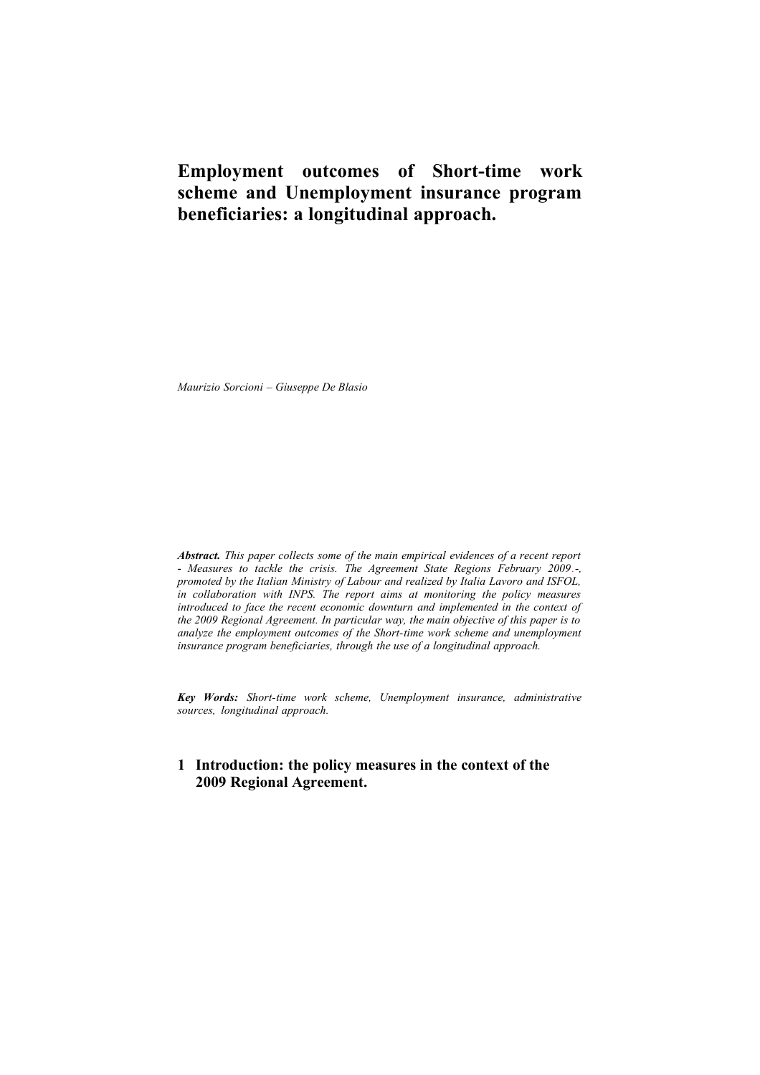# **Employment outcomes of Short-time work scheme and Unemployment insurance program beneficiaries: a longitudinal approach.**

*Maurizio Sorcioni – Giuseppe De Blasio* 

*Abstract. This paper collects some of the main empirical evidences of a recent report* - *Measures to tackle the crisis. The Agreement State Regions February 2009.-, promoted by the Italian Ministry of Labour and realized by Italia Lavoro and ISFOL, in collaboration with INPS. The report aims at monitoring the policy measures introduced to face the recent economic downturn and implemented in the context of the 2009 Regional Agreement. In particular way, the main objective of this paper is to analyze the employment outcomes of the Short-time work scheme and unemployment insurance program beneficiaries, through the use of a longitudinal approach.*

*Key Words: Short-time work scheme, Unemployment insurance, administrative sources, longitudinal approach.*

# **1 Introduction: the policy measures in the context of the 2009 Regional Agreement.**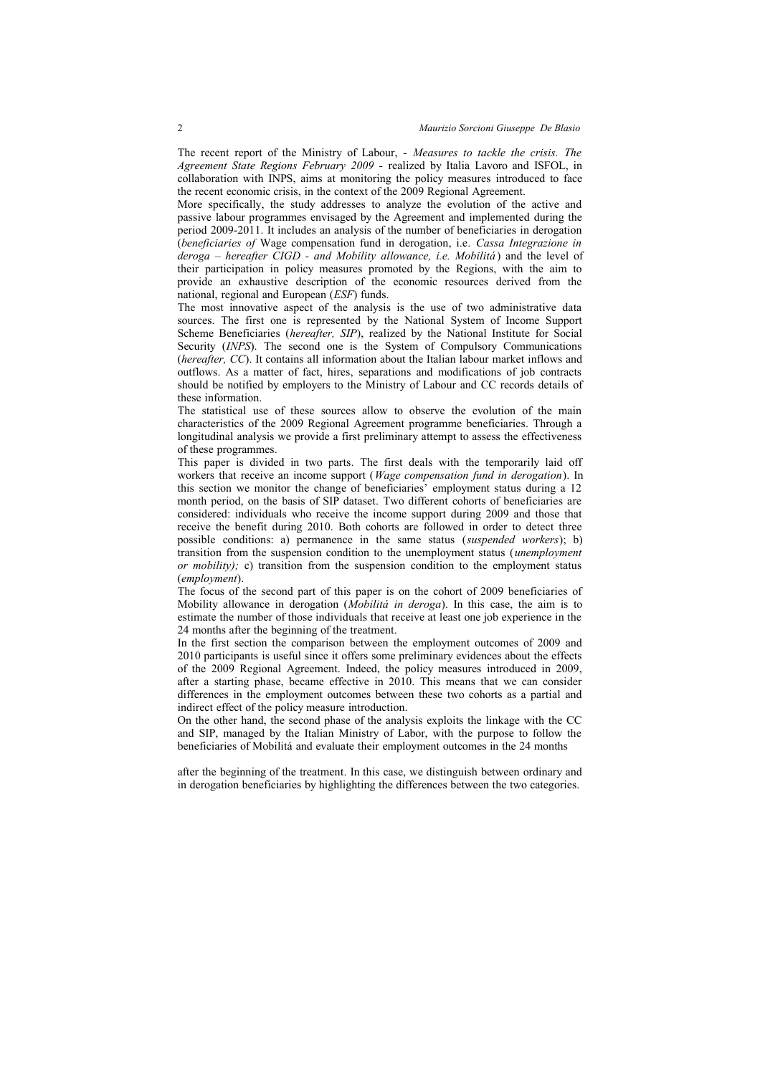The recent report of the Ministry of Labour, - *Measures to tackle the crisis. The Agreement State Regions February 2009 -* realized by Italia Lavoro and ISFOL, in collaboration with INPS, aims at monitoring the policy measures introduced to face the recent economic crisis, in the context of the 2009 Regional Agreement.

More specifically, the study addresses to analyze the evolution of the active and passive labour programmes envisaged by the Agreement and implemented during the period 2009-2011. It includes an analysis of the number of beneficiaries in derogation (*beneficiaries of* Wage compensation fund in derogation, i.e. *Cassa Integrazione in deroga – hereafter CIGD - and Mobility allowance, i.e. Mobilitá* ) and the level of their participation in policy measures promoted by the Regions, with the aim to provide an exhaustive description of the economic resources derived from the national, regional and European (*ESF*) funds.

The most innovative aspect of the analysis is the use of two administrative data sources. The first one is represented by the National System of Income Support Scheme Beneficiaries (*hereafter, SIP*), realized by the National Institute for Social Security (*INPS*). The second one is the System of Compulsory Communications (*hereafter, CC*). It contains all information about the Italian labour market inflows and outflows. As a matter of fact, hires, separations and modifications of job contracts should be notified by employers to the Ministry of Labour and CC records details of these information.

The statistical use of these sources allow to observe the evolution of the main characteristics of the 2009 Regional Agreement programme beneficiaries. Through a longitudinal analysis we provide a first preliminary attempt to assess the effectiveness of these programmes.

This paper is divided in two parts. The first deals with the temporarily laid off workers that receive an income support (*Wage compensation fund in derogation*). In this section we monitor the change of beneficiaries' employment status during a 12 month period, on the basis of SIP dataset. Two different cohorts of beneficiaries are considered: individuals who receive the income support during 2009 and those that receive the benefit during 2010. Both cohorts are followed in order to detect three possible conditions: a) permanence in the same status (*suspended workers*); b) transition from the suspension condition to the unemployment status (*unemployment or mobility);* c) transition from the suspension condition to the employment status (*employment*).

The focus of the second part of this paper is on the cohort of 2009 beneficiaries of Mobility allowance in derogation (*Mobilitá in deroga*). In this case, the aim is to estimate the number of those individuals that receive at least one job experience in the 24 months after the beginning of the treatment.

In the first section the comparison between the employment outcomes of 2009 and 2010 participants is useful since it offers some preliminary evidences about the effects of the 2009 Regional Agreement. Indeed, the policy measures introduced in 2009, after a starting phase, became effective in 2010. This means that we can consider differences in the employment outcomes between these two cohorts as a partial and indirect effect of the policy measure introduction.

On the other hand, the second phase of the analysis exploits the linkage with the CC and SIP, managed by the Italian Ministry of Labor, with the purpose to follow the beneficiaries of Mobilitá and evaluate their employment outcomes in the 24 months

after the beginning of the treatment. In this case, we distinguish between ordinary and in derogation beneficiaries by highlighting the differences between the two categories.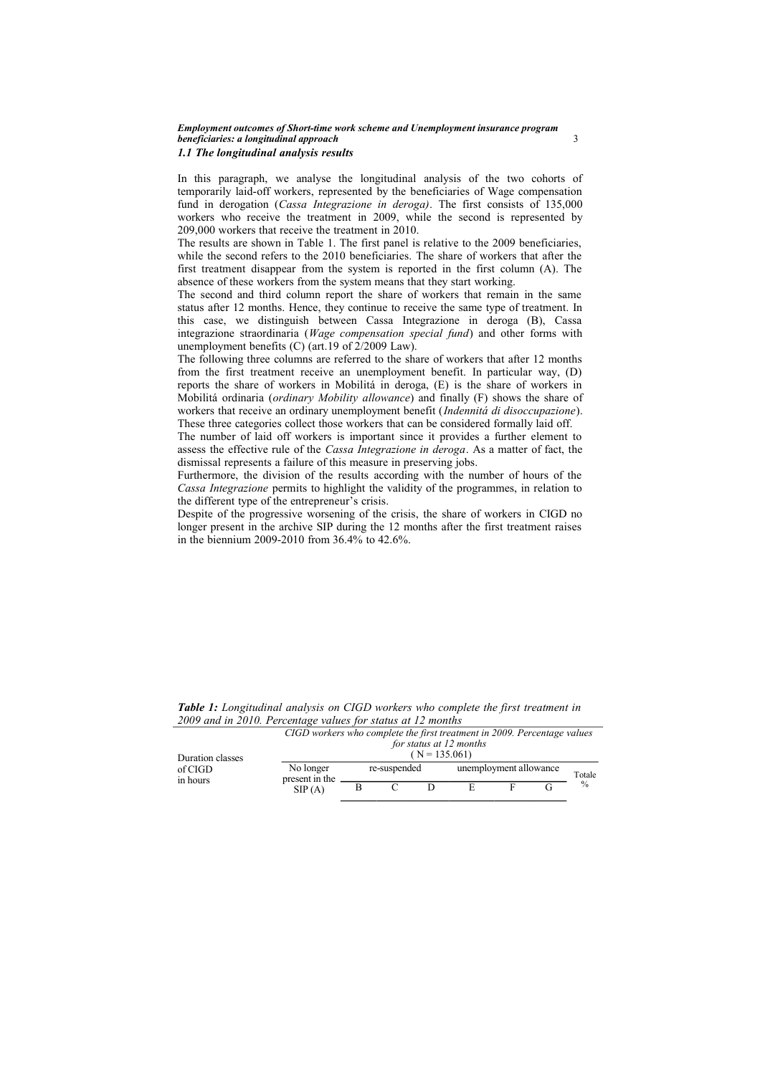#### *Employment outcomes of Short-time work scheme and Unemployment insurance program beneficiaries: a longitudinal approach* 3 *1.1 The longitudinal analysis results*

In this paragraph, we analyse the longitudinal analysis of the two cohorts of temporarily laid-off workers, represented by the beneficiaries of Wage compensation fund in derogation (*Cassa Integrazione in deroga)*. The first consists of 135,000 workers who receive the treatment in 2009, while the second is represented by 209,000 workers that receive the treatment in 2010.

The results are shown in Table 1. The first panel is relative to the 2009 beneficiaries, while the second refers to the 2010 beneficiaries. The share of workers that after the first treatment disappear from the system is reported in the first column (A). The absence of these workers from the system means that they start working.

The second and third column report the share of workers that remain in the same status after 12 months. Hence, they continue to receive the same type of treatment. In this case, we distinguish between Cassa Integrazione in deroga (B), Cassa integrazione straordinaria (*Wage compensation special fund*) and other forms with unemployment benefits (C) (art.19 of 2/2009 Law).

The following three columns are referred to the share of workers that after 12 months from the first treatment receive an unemployment benefit. In particular way, (D) reports the share of workers in Mobilitá in deroga, (E) is the share of workers in Mobilitá ordinaria (*ordinary Mobility allowance*) and finally (F) shows the share of workers that receive an ordinary unemployment benefit (*Indennitá di disoccupazione*). These three categories collect those workers that can be considered formally laid off.

The number of laid off workers is important since it provides a further element to assess the effective rule of the *Cassa Integrazione in deroga*. As a matter of fact, the dismissal represents a failure of this measure in preserving jobs.

Furthermore, the division of the results according with the number of hours of the *Cassa Integrazione* permits to highlight the validity of the programmes, in relation to the different type of the entrepreneur's crisis.

Despite of the progressive worsening of the crisis, the share of workers in CIGD no longer present in the archive SIP during the 12 months after the first treatment raises in the biennium 2009-2010 from 36.4% to 42.6%.

*Table 1: Longitudinal analysis on CIGD workers who complete the first treatment in 2009 and in 2010. Percentage values for status at 12 months*

| Duration classes<br>of CIGD<br>in hours |                             | CIGD workers who complete the first treatment in 2009. Percentage values<br>for status at 12 months<br>$(N = 135.061)$ |  |  |                                  |  |  |               |  |
|-----------------------------------------|-----------------------------|------------------------------------------------------------------------------------------------------------------------|--|--|----------------------------------|--|--|---------------|--|
|                                         | No longer<br>present in the | re-suspended                                                                                                           |  |  | unemployment allowance<br>Totale |  |  |               |  |
|                                         | SIP(A)                      |                                                                                                                        |  |  |                                  |  |  | $\frac{0}{0}$ |  |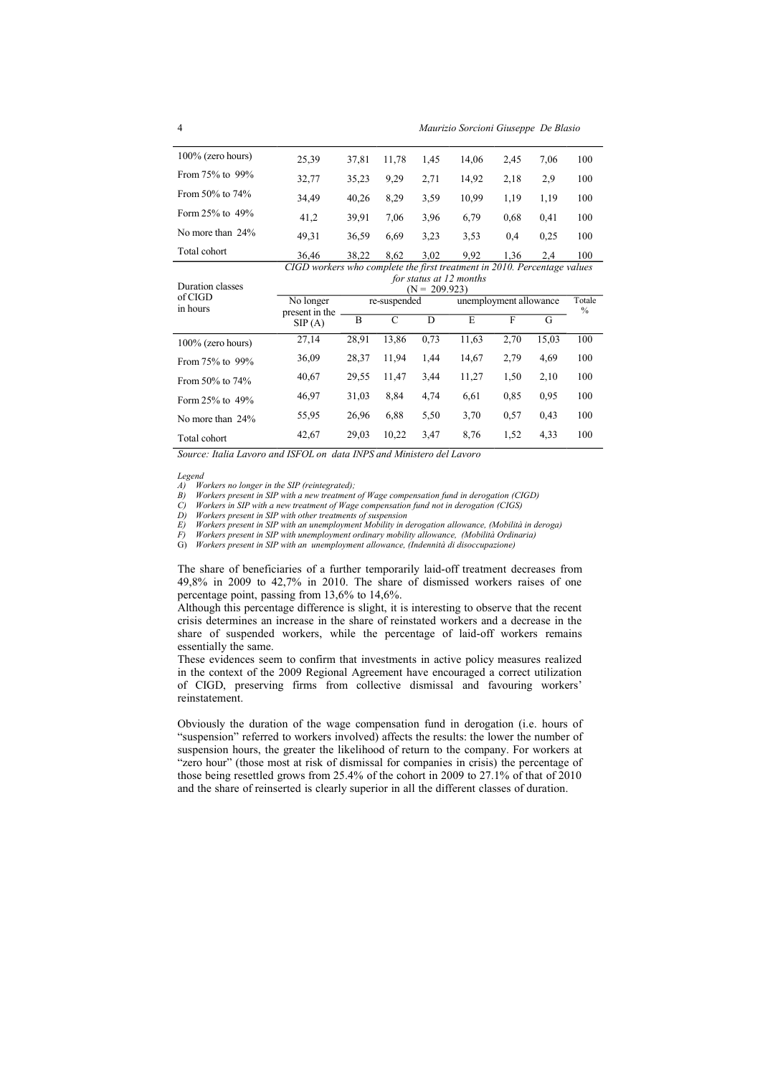| $100\%$ (zero hours)  | 25,39 | 37.81 | 11.78 | 1.45 | 14.06 | 2,45 | 7.06 | 100 |
|-----------------------|-------|-------|-------|------|-------|------|------|-----|
| From 75% to 99%       | 32,77 | 35.23 | 9.29  | 2.71 | 14.92 | 2,18 | 2.9  | 100 |
| From $50\%$ to $74\%$ | 34.49 | 40.26 | 8.29  | 3.59 | 10.99 | 1.19 | 1.19 | 100 |
| Form $25\%$ to $49\%$ | 41,2  | 39.91 | 7.06  | 3.96 | 6.79  | 0.68 | 0.41 | 100 |
| No more than 24%      | 49,31 | 36.59 | 6.69  | 3.23 | 3.53  | 0.4  | 0.25 | 100 |
| Total cohort          | 36,46 | 38,22 | 8,62  | 3,02 | 9.92  | 1,36 | 2,4  | 100 |

Duration classes of CIGD in hours *CIGD workers who complete the first treatment in 2010. Percentage values for status at 12 months*  $\frac{(N = 209.923)}{re-suspended}$ No longer present in the  $SIP(A)$ unemployment allowance Totale  $\frac{0}{6}$ B C D E F G 100% (zero hours) 27,14 28,91 13,86 0,73 11,63 2,70 15,03 100

| $100/0$ (ZCIO HOULS) |       |       |       |      |       |      |      |     |
|----------------------|-------|-------|-------|------|-------|------|------|-----|
| From 75% to 99%      | 36,09 | 28.37 | 11.94 | 1.44 | 14.67 | 2.79 | 4.69 | 100 |
| From 50% to 74%      | 40.67 | 29.55 | 11.47 | 3.44 | 11.27 | 1.50 | 2.10 | 100 |
| Form 25% to 49%      | 46,97 | 31.03 | 8.84  | 4.74 | 6.61  | 0.85 | 0.95 | 100 |
| No more than 24%     | 55,95 | 26.96 | 6.88  | 5.50 | 3.70  | 0.57 | 0.43 | 100 |
| Total cohort         | 42.67 | 29.03 | 10.22 | 3,47 | 8.76  | 1.52 | 4.33 | 100 |

*Source: Italia Lavoro and ISFOL on data INPS and Ministero del Lavoro*

*Legend*<br>*A*) *W*<br>*B*) *W* 

A) Workers no longer in the SIP (reintegrated);<br>B) Workers present in SIP with a new treatment of Wage compensation fund in derogation (CIGD)<br>C) Workers in SIP with a new treatment of Wage compensation fund not in derogati

*D) Workers present in SIP with other treatments of suspension*

E) Workers present in SIP with an unemployment Mobility in derogation allowance, (Mobilità in deroga)<br>F) Workers present in SIP with unemployment ordinary mobility allowance, (Mobilità Ordinaria)

G) *Workers present in SIP with an unemployment allowance, (Indennità di disoccupazione)* 

The share of beneficiaries of a further temporarily laid-off treatment decreases from 49,8% in 2009 to 42,7% in 2010. The share of dismissed workers raises of one percentage point, passing from 13,6% to 14,6%.

Although this percentage difference is slight, it is interesting to observe that the recent crisis determines an increase in the share of reinstated workers and a decrease in the share of suspended workers, while the percentage of laid-off workers remains essentially the same.

These evidences seem to confirm that investments in active policy measures realized in the context of the 2009 Regional Agreement have encouraged a correct utilization of CIGD, preserving firms from collective dismissal and favouring workers' reinstatement.

Obviously the duration of the wage compensation fund in derogation (i.e. hours of "suspension" referred to workers involved) affects the results: the lower the number of suspension hours, the greater the likelihood of return to the company. For workers at "zero hour" (those most at risk of dismissal for companies in crisis) the percentage of those being resettled grows from 25.4% of the cohort in 2009 to 27.1% of that of 2010 and the share of reinserted is clearly superior in all the different classes of duration.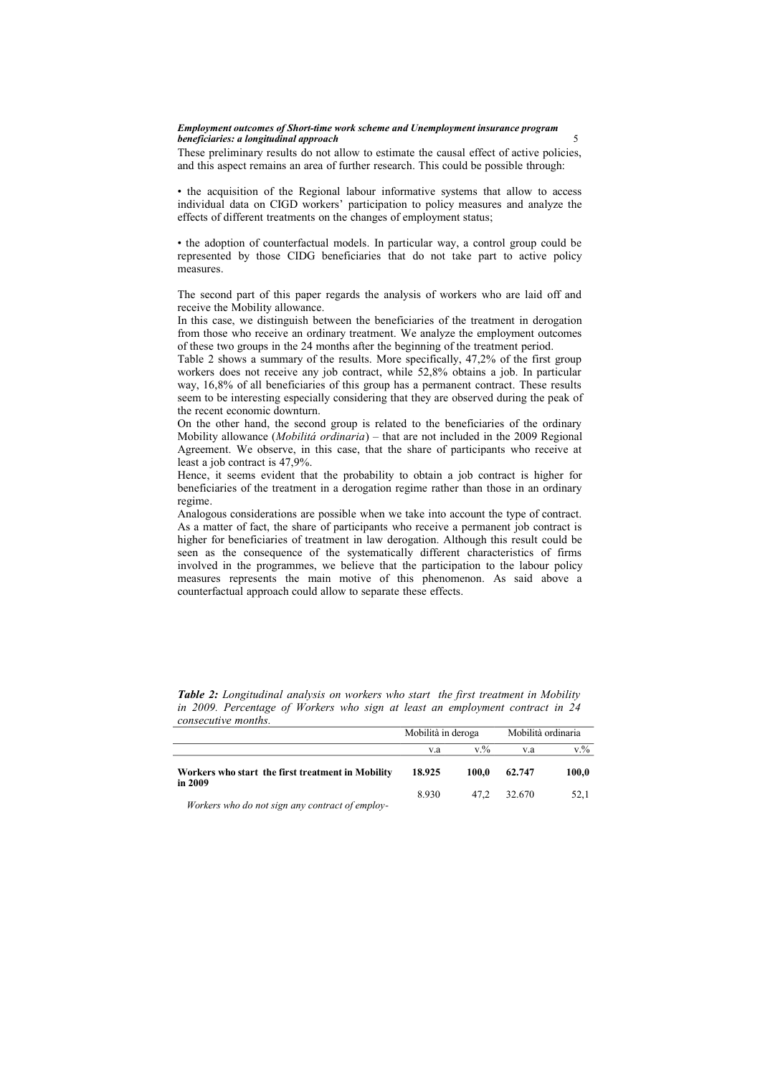#### *Employment outcomes of Short-time work scheme and Unemployment insurance program*  **beneficiaries: a longitudinal approach** 5

These preliminary results do not allow to estimate the causal effect of active policies, and this aspect remains an area of further research. This could be possible through:

• the acquisition of the Regional labour informative systems that allow to access individual data on CIGD workers' participation to policy measures and analyze the effects of different treatments on the changes of employment status;

• the adoption of counterfactual models. In particular way, a control group could be represented by those CIDG beneficiaries that do not take part to active policy measures.

The second part of this paper regards the analysis of workers who are laid off and receive the Mobility allowance.

In this case, we distinguish between the beneficiaries of the treatment in derogation from those who receive an ordinary treatment. We analyze the employment outcomes of these two groups in the 24 months after the beginning of the treatment period.

Table 2 shows a summary of the results. More specifically, 47,2% of the first group workers does not receive any job contract, while 52,8% obtains a job. In particular way, 16,8% of all beneficiaries of this group has a permanent contract. These results seem to be interesting especially considering that they are observed during the peak of the recent economic downturn.

On the other hand, the second group is related to the beneficiaries of the ordinary Mobility allowance (*Mobilitá ordinaria*) – that are not included in the 2009 Regional Agreement. We observe, in this case, that the share of participants who receive at least a job contract is 47,9%.

Hence, it seems evident that the probability to obtain a job contract is higher for beneficiaries of the treatment in a derogation regime rather than those in an ordinary regime.

Analogous considerations are possible when we take into account the type of contract. As a matter of fact, the share of participants who receive a permanent job contract is higher for beneficiaries of treatment in law derogation. Although this result could be seen as the consequence of the systematically different characteristics of firms involved in the programmes, we believe that the participation to the labour policy measures represents the main motive of this phenomenon. As said above a counterfactual approach could allow to separate these effects.

|                                                              | Mobilità in deroga |         | Mobilità ordinaria |           |
|--------------------------------------------------------------|--------------------|---------|--------------------|-----------|
|                                                              | v.a                | $V_{0}$ | v.a                | $v_{.}\%$ |
| Workers who start the first treatment in Mobility<br>in 2009 | 18.925             | 100.0   | 62.747             | 100.0     |
| $W_1, L_2, \ldots, L_r, J_1, \ldots, L_r$                    | 8.930              | 47.2    | 32.670             | 52.1      |

*Table 2: Longitudinal analysis on workers who start the first treatment in Mobility in 2009. Percentage of Workers who sign at least an employment contract in 24 consecutive months.*

*Workers who do not sign any contract of employ-*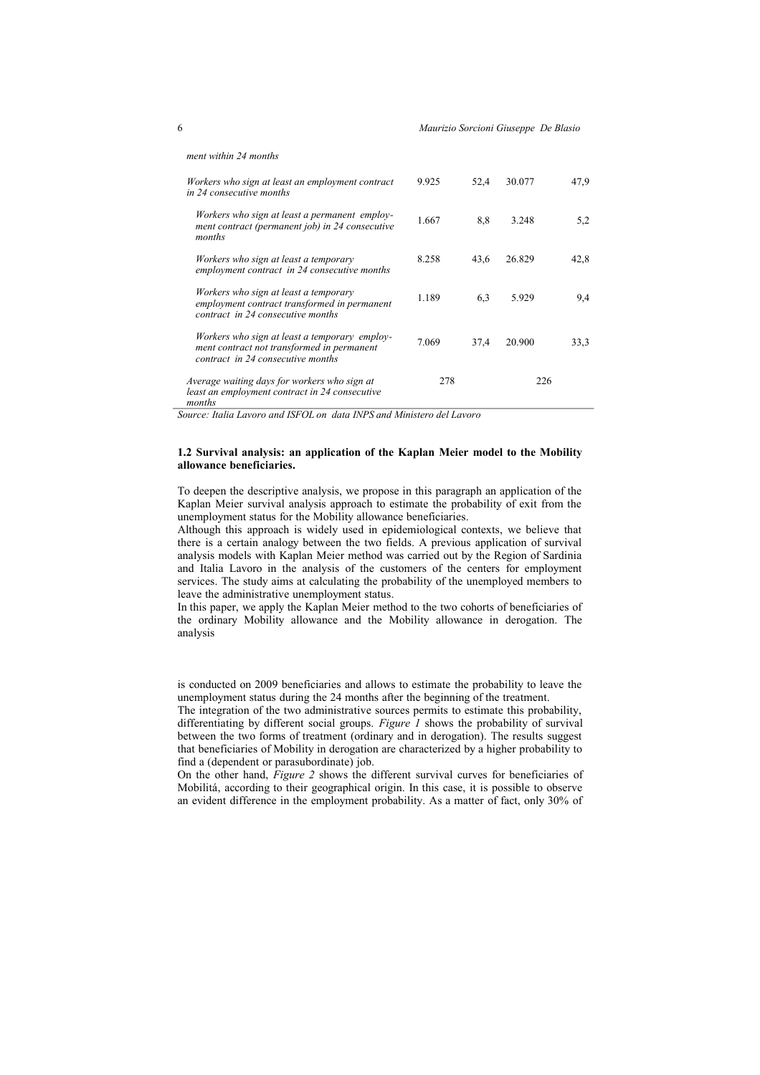*ment within 24 months*

| Workers who sign at least an employment contract<br>in 24 consecutive months                                                     | 9.925 | 52,4 | 30.077 | 47.9 |
|----------------------------------------------------------------------------------------------------------------------------------|-------|------|--------|------|
| Workers who sign at least a permanent employ-<br>ment contract (permanent job) in 24 consecutive<br>months                       | 1.667 | 8,8  | 3.248  | 5,2  |
| Workers who sign at least a temporary<br>employment contract in 24 consecutive months                                            | 8.258 | 43,6 | 26.829 | 42,8 |
| Workers who sign at least a temporary<br>employment contract transformed in permanent<br>contract in 24 consecutive months       | 1.189 | 6,3  | 5.929  | 9,4  |
| Workers who sign at least a temporary employ-<br>ment contract not transformed in permanent<br>contract in 24 consecutive months | 7.069 | 37,4 | 20.900 | 33,3 |
| Average waiting days for workers who sign at<br>least an employment contract in 24 consecutive<br>months                         | 278   |      | 226    |      |

*Source: Italia Lavoro and ISFOL on data INPS and Ministero del Lavoro*

#### **1.2 Survival analysis: an application of the Kaplan Meier model to the Mobility allowance beneficiaries.**

To deepen the descriptive analysis, we propose in this paragraph an application of the Kaplan Meier survival analysis approach to estimate the probability of exit from the unemployment status for the Mobility allowance beneficiaries.

Although this approach is widely used in epidemiological contexts, we believe that there is a certain analogy between the two fields. A previous application of survival analysis models with Kaplan Meier method was carried out by the Region of Sardinia and Italia Lavoro in the analysis of the customers of the centers for employment services. The study aims at calculating the probability of the unemployed members to leave the administrative unemployment status.

In this paper, we apply the Kaplan Meier method to the two cohorts of beneficiaries of the ordinary Mobility allowance and the Mobility allowance in derogation. The analysis

is conducted on 2009 beneficiaries and allows to estimate the probability to leave the unemployment status during the 24 months after the beginning of the treatment.

The integration of the two administrative sources permits to estimate this probability, differentiating by different social groups. *Figure 1* shows the probability of survival between the two forms of treatment (ordinary and in derogation). The results suggest that beneficiaries of Mobility in derogation are characterized by a higher probability to find a (dependent or parasubordinate) job.

On the other hand, *Figure 2* shows the different survival curves for beneficiaries of Mobilitá, according to their geographical origin. In this case, it is possible to observe an evident difference in the employment probability. As a matter of fact, only 30% of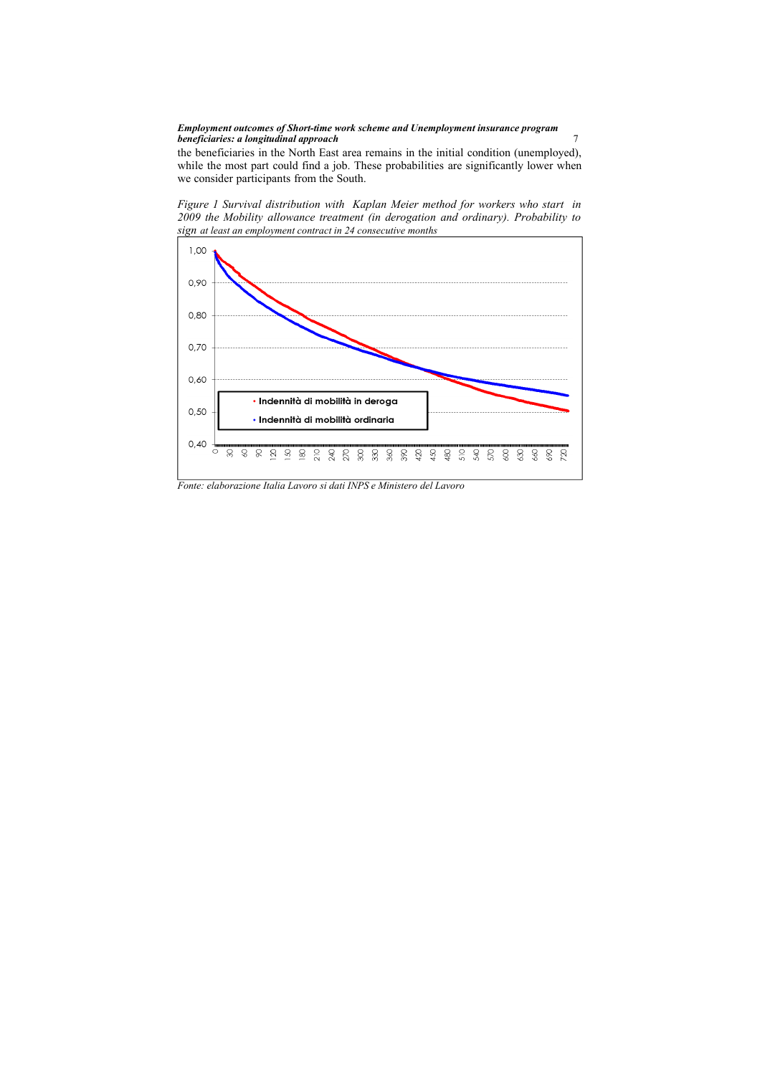#### *Employment outcomes of Short-time work scheme and Unemployment insurance program*  **beneficiaries: a longitudinal approach** *beneficiaries: a longitudinal approach f*

the beneficiaries in the North East area remains in the initial condition (unemployed), while the most part could find a job. These probabilities are significantly lower when we consider participants from the South.





*Fonte: elaborazione Italia Lavoro si dati INPS e Ministero del Lavoro*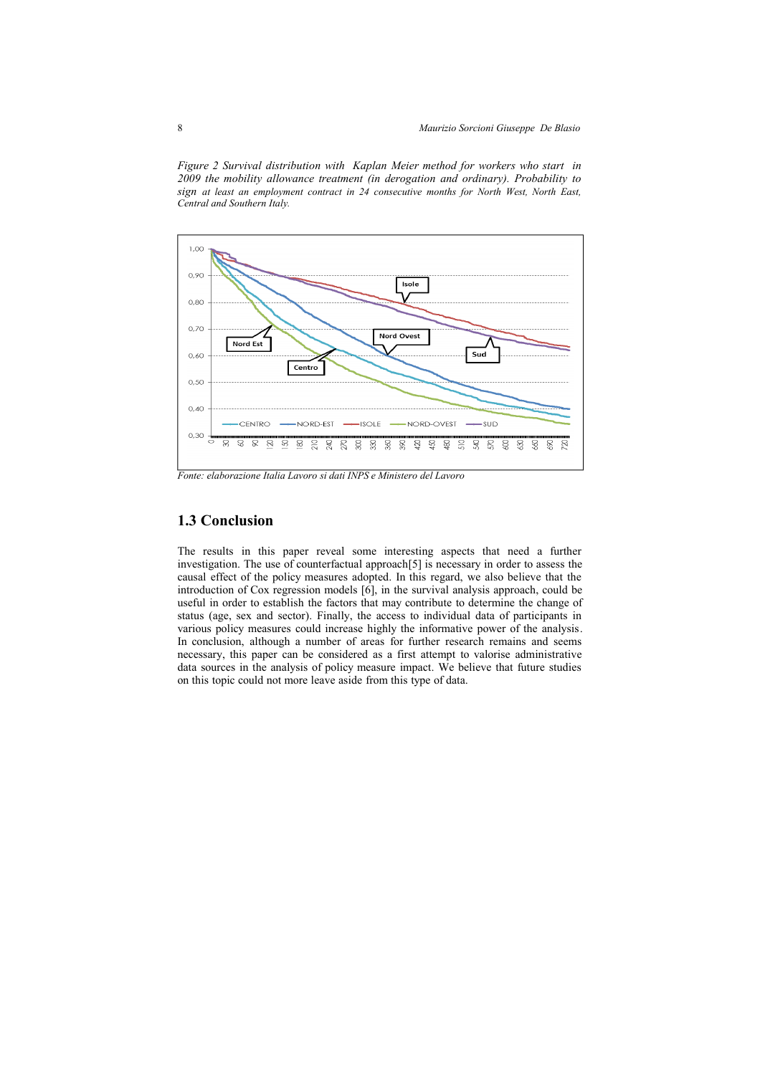*Figure 2 Survival distribution with Kaplan Meier method for workers who start in 2009 the mobility allowance treatment (in derogation and ordinary). Probability to sign at least an employment contract in 24 consecutive months for North West, North East, Central and Southern Italy.* 



*Fonte: elaborazione Italia Lavoro si dati INPS e Ministero del Lavoro* 

## **1.3 Conclusion**

The results in this paper reveal some interesting aspects that need a further investigation. The use of counterfactual approach[5] is necessary in order to assess the causal effect of the policy measures adopted. In this regard, we also believe that the introduction of Cox regression models [6], in the survival analysis approach, could be useful in order to establish the factors that may contribute to determine the change of status (age, sex and sector). Finally, the access to individual data of participants in various policy measures could increase highly the informative power of the analysis. In conclusion, although a number of areas for further research remains and seems necessary, this paper can be considered as a first attempt to valorise administrative data sources in the analysis of policy measure impact. We believe that future studies on this topic could not more leave aside from this type of data.